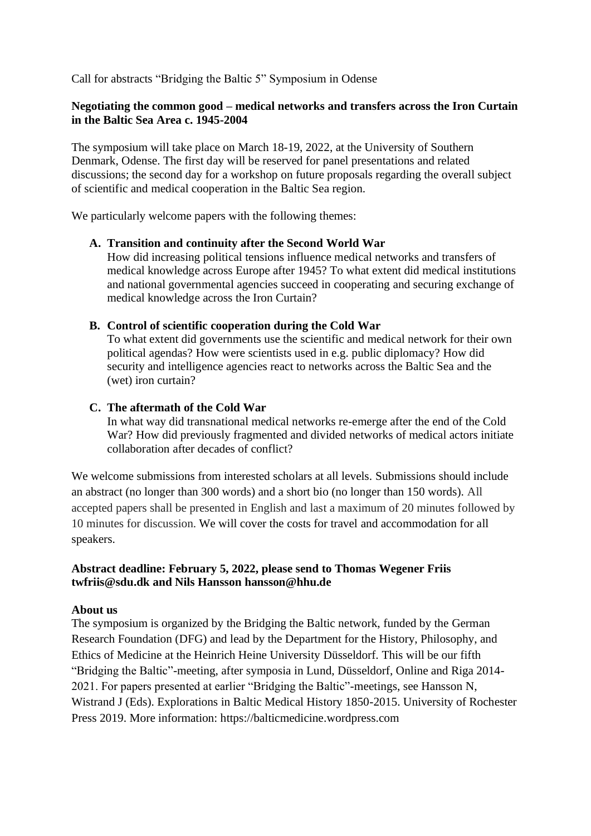Call for abstracts "Bridging the Baltic 5" Symposium in Odense

#### **Negotiating the common good – medical networks and transfers across the Iron Curtain in the Baltic Sea Area c. 1945-2004**

The symposium will take place on March 18-19, 2022, at the University of Southern Denmark, Odense. The first day will be reserved for panel presentations and related discussions; the second day for a workshop on future proposals regarding the overall subject of scientific and medical cooperation in the Baltic Sea region.

We particularly welcome papers with the following themes:

## **A. Transition and continuity after the Second World War**

How did increasing political tensions influence medical networks and transfers of medical knowledge across Europe after 1945? To what extent did medical institutions and national governmental agencies succeed in cooperating and securing exchange of medical knowledge across the Iron Curtain?

#### **B. Control of scientific cooperation during the Cold War**

To what extent did governments use the scientific and medical network for their own political agendas? How were scientists used in e.g. public diplomacy? How did security and intelligence agencies react to networks across the Baltic Sea and the (wet) iron curtain?

#### **C. The aftermath of the Cold War**

In what way did transnational medical networks re-emerge after the end of the Cold War? How did previously fragmented and divided networks of medical actors initiate collaboration after decades of conflict?

We welcome submissions from interested scholars at all levels. Submissions should include an abstract (no longer than 300 words) and a short bio (no longer than 150 words). All accepted papers shall be presented in English and last a maximum of 20 minutes followed by 10 minutes for discussion. We will cover the costs for travel and accommodation for all speakers.

#### **Abstract deadline: February 5, 2022, please send to Thomas Wegener Friis [twfriis@sdu.dk](mailto:twfriis@sdu.dk) and Nils Hansson [hansson@hhu.de](mailto:hansson@hhu.de)**

## **About us**

The symposium is organized by the Bridging the Baltic network, funded by the German Research Foundation (DFG) and lead by the Department for the History, Philosophy, and Ethics of Medicine at the Heinrich Heine University Düsseldorf. This will be our fifth "Bridging the Baltic"-meeting, after symposia in Lund, Düsseldorf, Online and Riga 2014- 2021. For papers presented at earlier "Bridging the Baltic"-meetings, see Hansson N, Wistrand J (Eds). Explorations in Baltic Medical History 1850-2015. University of Rochester Press 2019. More information: https://balticmedicine.wordpress.com